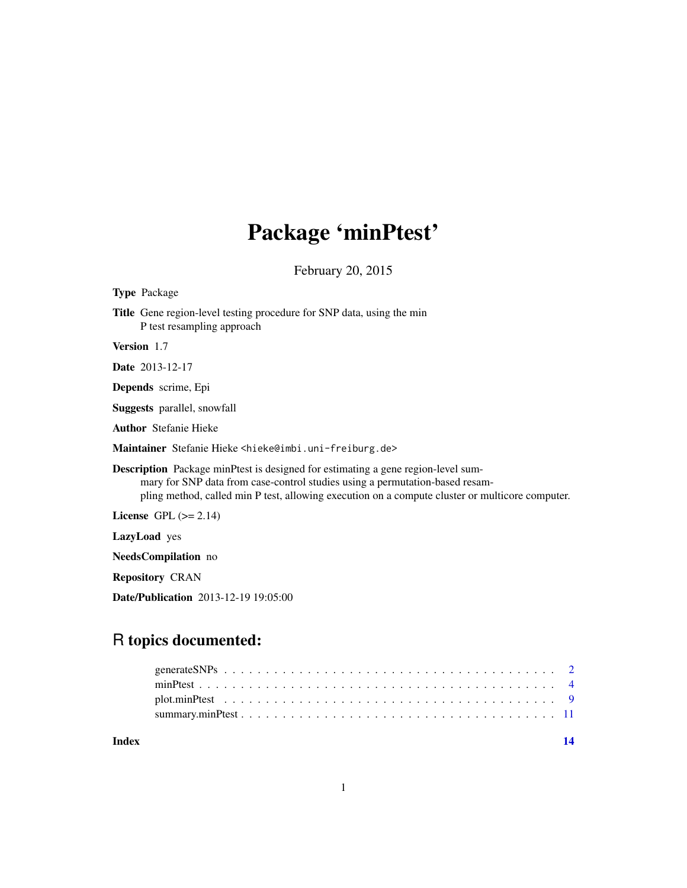## Package 'minPtest'

February 20, 2015

<span id="page-0-0"></span>Type Package

Title Gene region-level testing procedure for SNP data, using the min P test resampling approach

Version 1.7

Date 2013-12-17

Depends scrime, Epi

Suggests parallel, snowfall

Author Stefanie Hieke

Maintainer Stefanie Hieke <hieke@imbi.uni-freiburg.de>

Description Package minPtest is designed for estimating a gene region-level summary for SNP data from case-control studies using a permutation-based resampling method, called min P test, allowing execution on a compute cluster or multicore computer.

License GPL  $(>= 2.14)$ 

LazyLoad yes

NeedsCompilation no

Repository CRAN

Date/Publication 2013-12-19 19:05:00

## R topics documented:

**Index** 2008 **[14](#page-13-0)**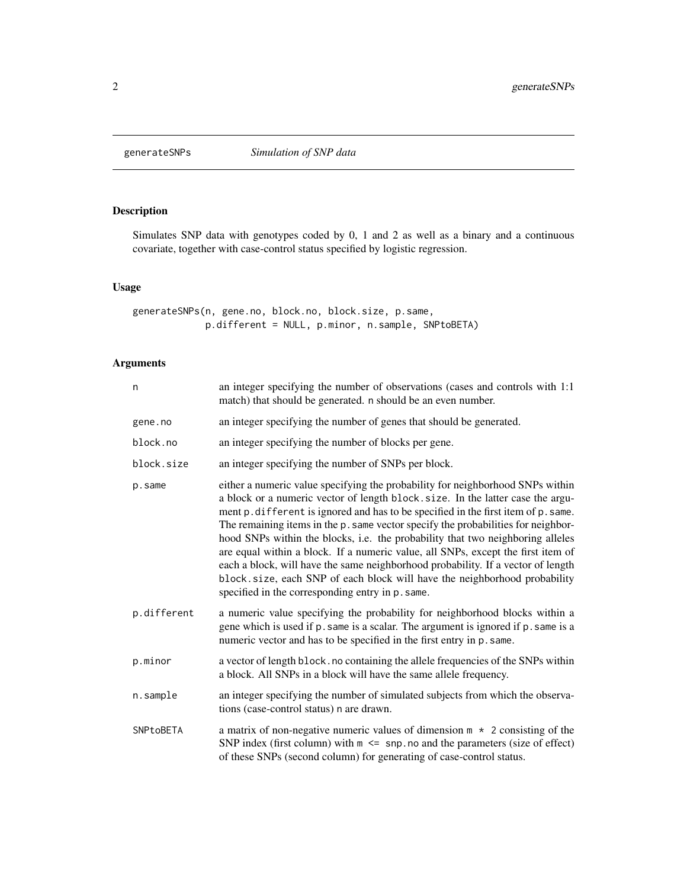<span id="page-1-1"></span><span id="page-1-0"></span>

## Description

Simulates SNP data with genotypes coded by 0, 1 and 2 as well as a binary and a continuous covariate, together with case-control status specified by logistic regression.

## Usage

```
generateSNPs(n, gene.no, block.no, block.size, p.same,
            p.different = NULL, p.minor, n.sample, SNPtoBETA)
```
## Arguments

| n           | an integer specifying the number of observations (cases and controls with 1:1)<br>match) that should be generated. n should be an even number.                                                                                                                                                                                                                                                                                                                                                                                                                                                                                                                                                                                          |
|-------------|-----------------------------------------------------------------------------------------------------------------------------------------------------------------------------------------------------------------------------------------------------------------------------------------------------------------------------------------------------------------------------------------------------------------------------------------------------------------------------------------------------------------------------------------------------------------------------------------------------------------------------------------------------------------------------------------------------------------------------------------|
| gene.no     | an integer specifying the number of genes that should be generated.                                                                                                                                                                                                                                                                                                                                                                                                                                                                                                                                                                                                                                                                     |
| block.no    | an integer specifying the number of blocks per gene.                                                                                                                                                                                                                                                                                                                                                                                                                                                                                                                                                                                                                                                                                    |
| block.size  | an integer specifying the number of SNPs per block.                                                                                                                                                                                                                                                                                                                                                                                                                                                                                                                                                                                                                                                                                     |
| p.same      | either a numeric value specifying the probability for neighborhood SNPs within<br>a block or a numeric vector of length block. size. In the latter case the argu-<br>ment p. different is ignored and has to be specified in the first item of p. same.<br>The remaining items in the p. same vector specify the probabilities for neighbor-<br>hood SNPs within the blocks, i.e. the probability that two neighboring alleles<br>are equal within a block. If a numeric value, all SNPs, except the first item of<br>each a block, will have the same neighborhood probability. If a vector of length<br>block.size, each SNP of each block will have the neighborhood probability<br>specified in the corresponding entry in p. same. |
| p.different | a numeric value specifying the probability for neighborhood blocks within a<br>gene which is used if p. same is a scalar. The argument is ignored if p. same is a<br>numeric vector and has to be specified in the first entry in p. same.                                                                                                                                                                                                                                                                                                                                                                                                                                                                                              |
| p.minor     | a vector of length block. no containing the allele frequencies of the SNPs within<br>a block. All SNPs in a block will have the same allele frequency.                                                                                                                                                                                                                                                                                                                                                                                                                                                                                                                                                                                  |
| n.sample    | an integer specifying the number of simulated subjects from which the observa-<br>tions (case-control status) n are drawn.                                                                                                                                                                                                                                                                                                                                                                                                                                                                                                                                                                                                              |
| SNPtoBETA   | a matrix of non-negative numeric values of dimension $m \times 2$ consisting of the<br>SNP index (first column) with $m \leq$ snp. no and the parameters (size of effect)<br>of these SNPs (second column) for generating of case-control status.                                                                                                                                                                                                                                                                                                                                                                                                                                                                                       |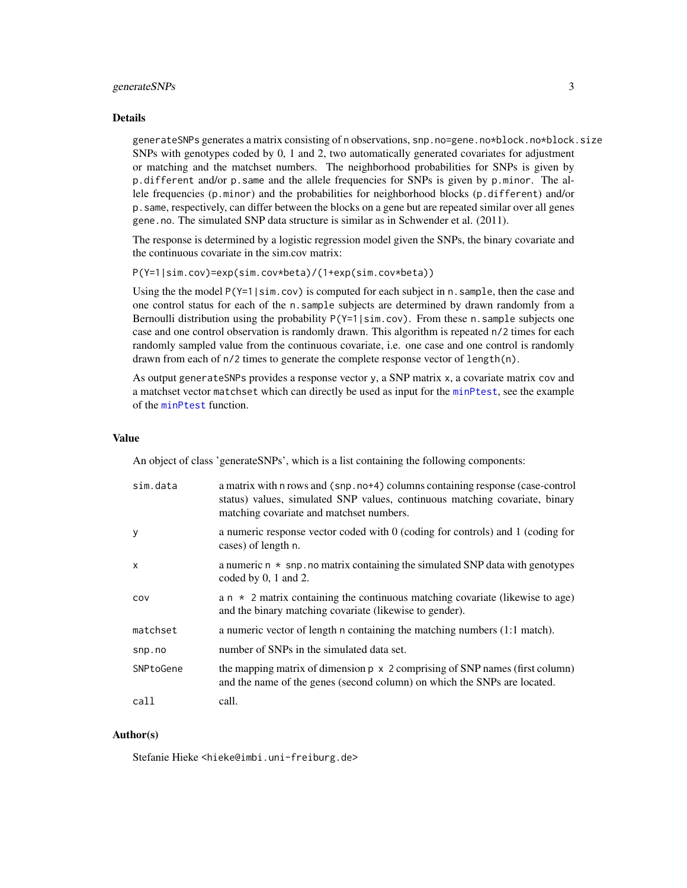## <span id="page-2-0"></span>generateSNPs 3

#### Details

generateSNPs generates a matrix consisting of n observations, snp.no=gene.no\*block.no\*block.size SNPs with genotypes coded by 0, 1 and 2, two automatically generated covariates for adjustment or matching and the matchset numbers. The neighborhood probabilities for SNPs is given by p.different and/or p.same and the allele frequencies for SNPs is given by p.minor. The allele frequencies (p.minor) and the probabilities for neighborhood blocks (p.different) and/or p.same, respectively, can differ between the blocks on a gene but are repeated similar over all genes gene.no. The simulated SNP data structure is similar as in Schwender et al. (2011).

The response is determined by a logistic regression model given the SNPs, the binary covariate and the continuous covariate in the sim.cov matrix:

P(Y=1|sim.cov)=exp(sim.cov\*beta)/(1+exp(sim.cov\*beta))

Using the the model  $P(Y=1|sin.cov)$  is computed for each subject in n. sample, then the case and one control status for each of the n.sample subjects are determined by drawn randomly from a Bernoulli distribution using the probability  $P(Y=1|\sin cov)$ . From these n. sample subjects one case and one control observation is randomly drawn. This algorithm is repeated n/2 times for each randomly sampled value from the continuous covariate, i.e. one case and one control is randomly drawn from each of n/2 times to generate the complete response vector of length(n).

As output generateSNPs provides a response vector y, a SNP matrix x, a covariate matrix cov and a matchset vector matchset which can directly be used as input for the [minPtest](#page-3-1), see the example of the [minPtest](#page-3-1) function.

## Value

An object of class 'generateSNPs', which is a list containing the following components:

| sim.data     | a matrix with n rows and (snp. no+4) columns containing response (case-control<br>status) values, simulated SNP values, continuous matching covariate, binary<br>matching covariate and matchset numbers. |
|--------------|-----------------------------------------------------------------------------------------------------------------------------------------------------------------------------------------------------------|
| y            | a numeric response vector coded with $0$ (coding for controls) and $1$ (coding for<br>cases) of length n.                                                                                                 |
| $\mathsf{x}$ | a numeric $n \times$ snp. no matrix containing the simulated SNP data with genotypes<br>coded by $0, 1$ and $2$ .                                                                                         |
| COV          | a $n \times 2$ matrix containing the continuous matching covariate (likewise to age)<br>and the binary matching covariate (likewise to gender).                                                           |
| matchset     | a numeric vector of length n containing the matching numbers (1:1 match).                                                                                                                                 |
| snp.no       | number of SNPs in the simulated data set.                                                                                                                                                                 |
| SNPtoGene    | the mapping matrix of dimension $p \times 2$ comprising of SNP names (first column)<br>and the name of the genes (second column) on which the SNPs are located.                                           |
| call         | call.                                                                                                                                                                                                     |

## Author(s)

Stefanie Hieke <hieke@imbi.uni-freiburg.de>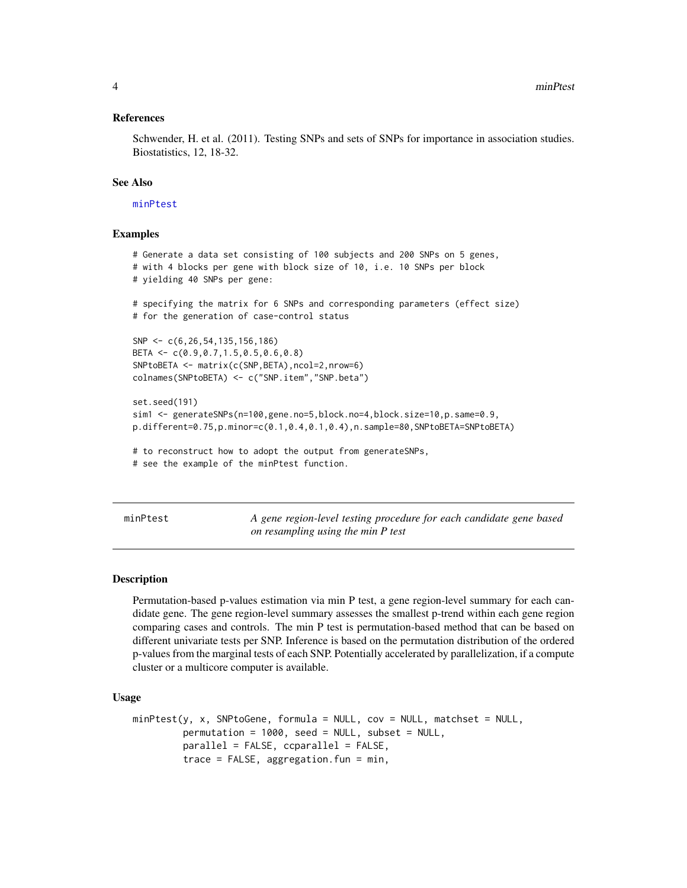## <span id="page-3-0"></span>References

Schwender, H. et al. (2011). Testing SNPs and sets of SNPs for importance in association studies. Biostatistics, 12, 18-32.

## See Also

[minPtest](#page-3-1)

## Examples

```
# Generate a data set consisting of 100 subjects and 200 SNPs on 5 genes,
# with 4 blocks per gene with block size of 10, i.e. 10 SNPs per block
# yielding 40 SNPs per gene:
# specifying the matrix for 6 SNPs and corresponding parameters (effect size)
# for the generation of case-control status
SNP <- c(6,26,54,135,156,186)
BETA <- c(0.9,0.7,1.5,0.5,0.6,0.8)
SNPtoBETA <- matrix(c(SNP,BETA),ncol=2,nrow=6)
colnames(SNPtoBETA) <- c("SNP.item","SNP.beta")
set.seed(191)
sim1 <- generateSNPs(n=100,gene.no=5,block.no=4,block.size=10,p.same=0.9,
p.different=0.75,p.minor=c(0.1,0.4,0.1,0.4),n.sample=80,SNPtoBETA=SNPtoBETA)
# to reconstruct how to adopt the output from generateSNPs,
# see the example of the minPtest function.
```
<span id="page-3-1"></span>minPtest *A gene region-level testing procedure for each candidate gene based on resampling using the min P test*

## Description

Permutation-based p-values estimation via min P test, a gene region-level summary for each candidate gene. The gene region-level summary assesses the smallest p-trend within each gene region comparing cases and controls. The min P test is permutation-based method that can be based on different univariate tests per SNP. Inference is based on the permutation distribution of the ordered p-values from the marginal tests of each SNP. Potentially accelerated by parallelization, if a compute cluster or a multicore computer is available.

#### Usage

```
minPtest(y, x, SNPtoGene, formula = NULL, cov = NULL, matchset = NULL,permutation = 1000, seed = NULL, subset = NULL,
         parallel = FALSE, ccparallel = FALSE,
         trace = FALSE, aggregation.fun = min,
```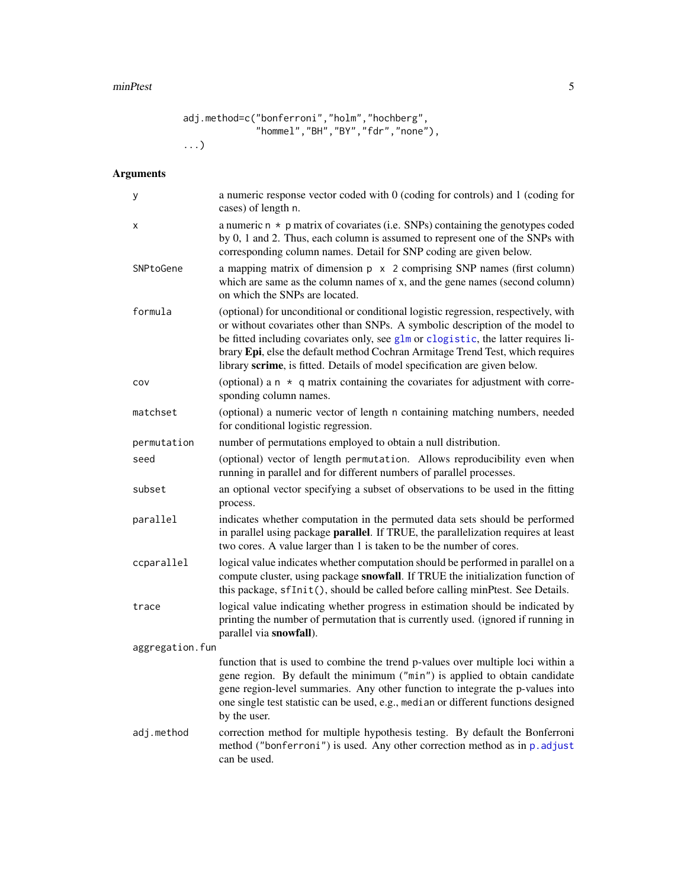#### <span id="page-4-0"></span>minPtest 5

```
adj.method=c("bonferroni","holm","hochberg",
             "hommel","BH","BY","fdr","none"),
...)
```
## Arguments

| у               | a numeric response vector coded with 0 (coding for controls) and 1 (coding for<br>cases) of length n.                                                                                                                                                                                                                                                                                                                      |
|-----------------|----------------------------------------------------------------------------------------------------------------------------------------------------------------------------------------------------------------------------------------------------------------------------------------------------------------------------------------------------------------------------------------------------------------------------|
| x               | a numeric $n * p$ matrix of covariates (i.e. SNPs) containing the genotypes coded<br>by 0, 1 and 2. Thus, each column is assumed to represent one of the SNPs with<br>corresponding column names. Detail for SNP coding are given below.                                                                                                                                                                                   |
| SNPtoGene       | a mapping matrix of dimension $p \times 2$ comprising SNP names (first column)<br>which are same as the column names of x, and the gene names (second column)<br>on which the SNPs are located.                                                                                                                                                                                                                            |
| formula         | (optional) for unconditional or conditional logistic regression, respectively, with<br>or without covariates other than SNPs. A symbolic description of the model to<br>be fitted including covariates only, see glm or clogistic, the latter requires li-<br>brary Epi, else the default method Cochran Armitage Trend Test, which requires<br>library scrime, is fitted. Details of model specification are given below. |
| COV             | (optional) a $n \times q$ matrix containing the covariates for adjustment with corre-<br>sponding column names.                                                                                                                                                                                                                                                                                                            |
| matchset        | (optional) a numeric vector of length n containing matching numbers, needed<br>for conditional logistic regression.                                                                                                                                                                                                                                                                                                        |
| permutation     | number of permutations employed to obtain a null distribution.                                                                                                                                                                                                                                                                                                                                                             |
| seed            | (optional) vector of length permutation. Allows reproducibility even when<br>running in parallel and for different numbers of parallel processes.                                                                                                                                                                                                                                                                          |
| subset          | an optional vector specifying a subset of observations to be used in the fitting<br>process.                                                                                                                                                                                                                                                                                                                               |
| parallel        | indicates whether computation in the permuted data sets should be performed<br>in parallel using package <b>parallel</b> . If TRUE, the parallelization requires at least<br>two cores. A value larger than 1 is taken to be the number of cores.                                                                                                                                                                          |
| ccparallel      | logical value indicates whether computation should be performed in parallel on a<br>compute cluster, using package snowfall. If TRUE the initialization function of<br>this package, sfInit(), should be called before calling minPtest. See Details.                                                                                                                                                                      |
| trace           | logical value indicating whether progress in estimation should be indicated by<br>printing the number of permutation that is currently used. (ignored if running in<br>parallel via snowfall).                                                                                                                                                                                                                             |
| aggregation.fun |                                                                                                                                                                                                                                                                                                                                                                                                                            |
|                 | function that is used to combine the trend p-values over multiple loci within a<br>gene region. By default the minimum ("min") is applied to obtain candidate<br>gene region-level summaries. Any other function to integrate the p-values into<br>one single test statistic can be used, e.g., median or different functions designed<br>by the user.                                                                     |
| adj.method      | correction method for multiple hypothesis testing. By default the Bonferroni<br>method ("bonferroni") is used. Any other correction method as in p. adjust<br>can be used.                                                                                                                                                                                                                                                 |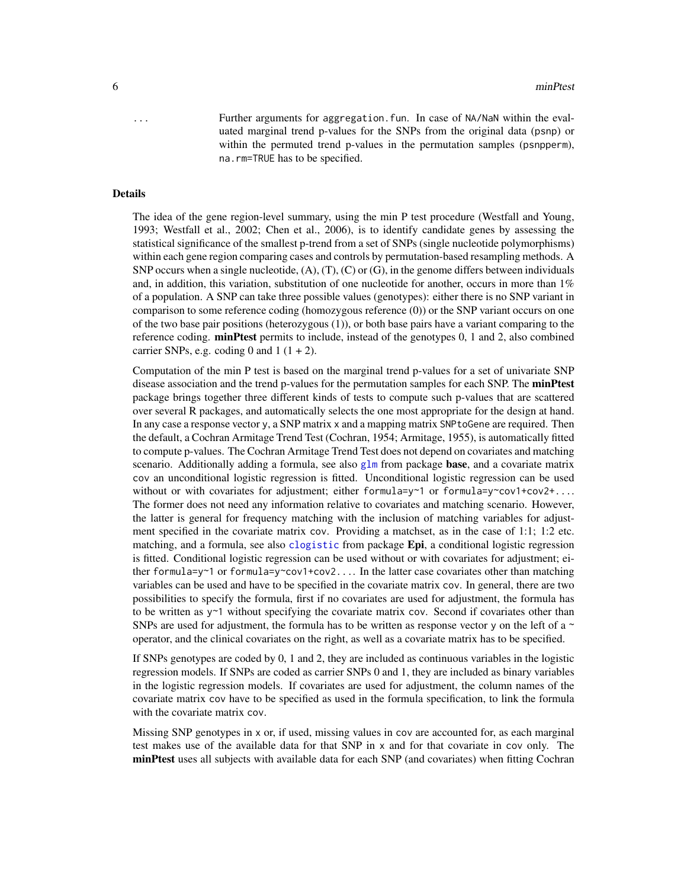<span id="page-5-0"></span>... Further arguments for aggregation.fun. In case of NA/NaN within the evaluated marginal trend p-values for the SNPs from the original data (psnp) or within the permuted trend p-values in the permutation samples (psnpperm), na.rm=TRUE has to be specified.

## Details

The idea of the gene region-level summary, using the min P test procedure (Westfall and Young, 1993; Westfall et al., 2002; Chen et al., 2006), is to identify candidate genes by assessing the statistical significance of the smallest p-trend from a set of SNPs (single nucleotide polymorphisms) within each gene region comparing cases and controls by permutation-based resampling methods. A SNP occurs when a single nucleotide,  $(A)$ ,  $(T)$ ,  $(C)$  or  $(G)$ , in the genome differs between individuals and, in addition, this variation, substitution of one nucleotide for another, occurs in more than 1% of a population. A SNP can take three possible values (genotypes): either there is no SNP variant in comparison to some reference coding (homozygous reference (0)) or the SNP variant occurs on one of the two base pair positions (heterozygous (1)), or both base pairs have a variant comparing to the reference coding. **minPtest** permits to include, instead of the genotypes 0, 1 and 2, also combined carrier SNPs, e.g. coding 0 and  $1(1 + 2)$ .

Computation of the min P test is based on the marginal trend p-values for a set of univariate SNP disease association and the trend p-values for the permutation samples for each SNP. The **minPtest** package brings together three different kinds of tests to compute such p-values that are scattered over several R packages, and automatically selects the one most appropriate for the design at hand. In any case a response vector y, a SNP matrix x and a mapping matrix SNPtoGene are required. Then the default, a Cochran Armitage Trend Test (Cochran, 1954; Armitage, 1955), is automatically fitted to compute p-values. The Cochran Armitage Trend Test does not depend on covariates and matching scenario. Additionally adding a formula, see also  $g\text{1m}$  from package **base**, and a covariate matrix cov an unconditional logistic regression is fitted. Unconditional logistic regression can be used without or with covariates for adjustment; either formula=y~1 or formula=y~cov1+cov2+... The former does not need any information relative to covariates and matching scenario. However, the latter is general for frequency matching with the inclusion of matching variables for adjustment specified in the covariate matrix cov. Providing a matchset, as in the case of 1:1; 1:2 etc. matching, and a formula, see also [clogistic](#page-0-0) from package **Epi**, a conditional logistic regression is fitted. Conditional logistic regression can be used without or with covariates for adjustment; either formula=y~1 or formula=y~cov1+cov2.... In the latter case covariates other than matching variables can be used and have to be specified in the covariate matrix cov. In general, there are two possibilities to specify the formula, first if no covariates are used for adjustment, the formula has to be written as  $y \sim 1$  without specifying the covariate matrix cov. Second if covariates other than SNPs are used for adjustment, the formula has to be written as response vector y on the left of a  $\sim$ operator, and the clinical covariates on the right, as well as a covariate matrix has to be specified.

If SNPs genotypes are coded by 0, 1 and 2, they are included as continuous variables in the logistic regression models. If SNPs are coded as carrier SNPs 0 and 1, they are included as binary variables in the logistic regression models. If covariates are used for adjustment, the column names of the covariate matrix cov have to be specified as used in the formula specification, to link the formula with the covariate matrix cov.

Missing SNP genotypes in x or, if used, missing values in cov are accounted for, as each marginal test makes use of the available data for that SNP in x and for that covariate in cov only. The minPtest uses all subjects with available data for each SNP (and covariates) when fitting Cochran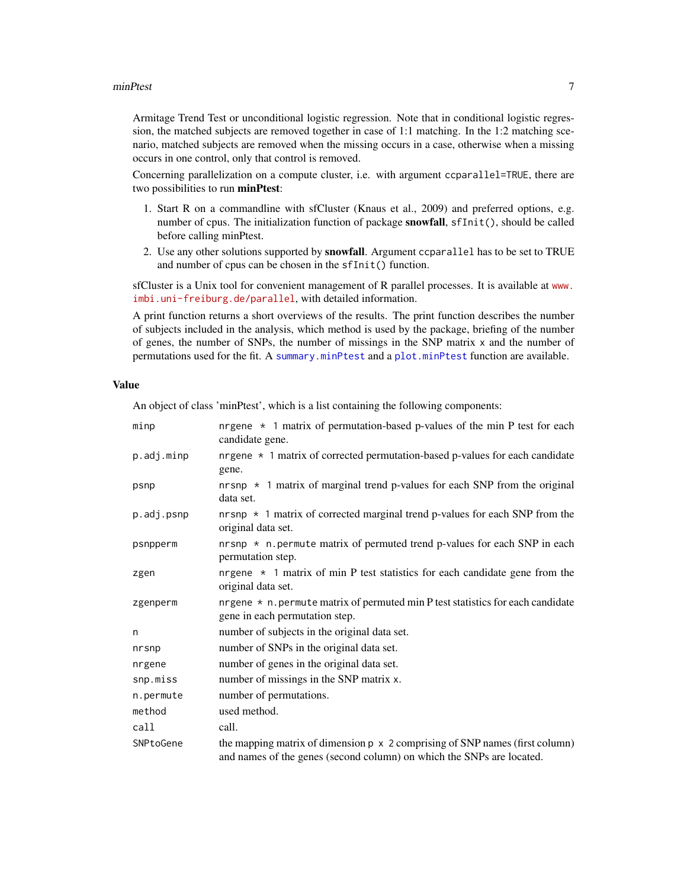#### <span id="page-6-0"></span>minPtest 7

Armitage Trend Test or unconditional logistic regression. Note that in conditional logistic regression, the matched subjects are removed together in case of 1:1 matching. In the 1:2 matching scenario, matched subjects are removed when the missing occurs in a case, otherwise when a missing occurs in one control, only that control is removed.

Concerning parallelization on a compute cluster, i.e. with argument ccparallel=TRUE, there are two possibilities to run minPtest:

- 1. Start R on a commandline with sfCluster (Knaus et al., 2009) and preferred options, e.g. number of cpus. The initialization function of package snowfall, sfInit(), should be called before calling minPtest.
- 2. Use any other solutions supported by snowfall. Argument ccparallel has to be set to TRUE and number of cpus can be chosen in the sfInit() function.

sfCluster is a Unix tool for convenient management of R parallel processes. It is available at [www.](www.imbi.uni-freiburg.de/parallel) [imbi.uni-freiburg.de/parallel](www.imbi.uni-freiburg.de/parallel), with detailed information.

A print function returns a short overviews of the results. The print function describes the number of subjects included in the analysis, which method is used by the package, briefing of the number of genes, the number of SNPs, the number of missings in the SNP matrix x and the number of permutations used for the fit. A [summary.minPtest](#page-10-1) and a [plot.minPtest](#page-8-1) function are available.

#### Value

An object of class 'minPtest', which is a list containing the following components:

| minp       | nrgene $\star$ 1 matrix of permutation-based p-values of the min P test for each<br>candidate gene.                                                          |
|------------|--------------------------------------------------------------------------------------------------------------------------------------------------------------|
| p.adj.minp | nrgene $\star$ 1 matrix of corrected permutation-based p-values for each candidate<br>gene.                                                                  |
| psnp       | nrsnp $\star$ 1 matrix of marginal trend p-values for each SNP from the original<br>data set.                                                                |
| p.adj.psnp | nrsnp $\star$ 1 matrix of corrected marginal trend p-values for each SNP from the<br>original data set.                                                      |
| psnpperm   | nrsnp $\star$ n. permute matrix of permuted trend p-values for each SNP in each<br>permutation step.                                                         |
| zgen       | nrgene $\star$ 1 matrix of min P test statistics for each candidate gene from the<br>original data set.                                                      |
| zgenperm   | nrgene $*$ n. permute matrix of permuted min P test statistics for each candidate<br>gene in each permutation step.                                          |
| n          | number of subjects in the original data set.                                                                                                                 |
| nrsnp      | number of SNPs in the original data set.                                                                                                                     |
| nrgene     | number of genes in the original data set.                                                                                                                    |
| snp.miss   | number of missings in the SNP matrix x.                                                                                                                      |
| n.permute  | number of permutations.                                                                                                                                      |
| method     | used method.                                                                                                                                                 |
| call       | call.                                                                                                                                                        |
| SNPtoGene  | the mapping matrix of dimension $p \times 2$ comprising of SNP names (first column)<br>and names of the genes (second column) on which the SNPs are located. |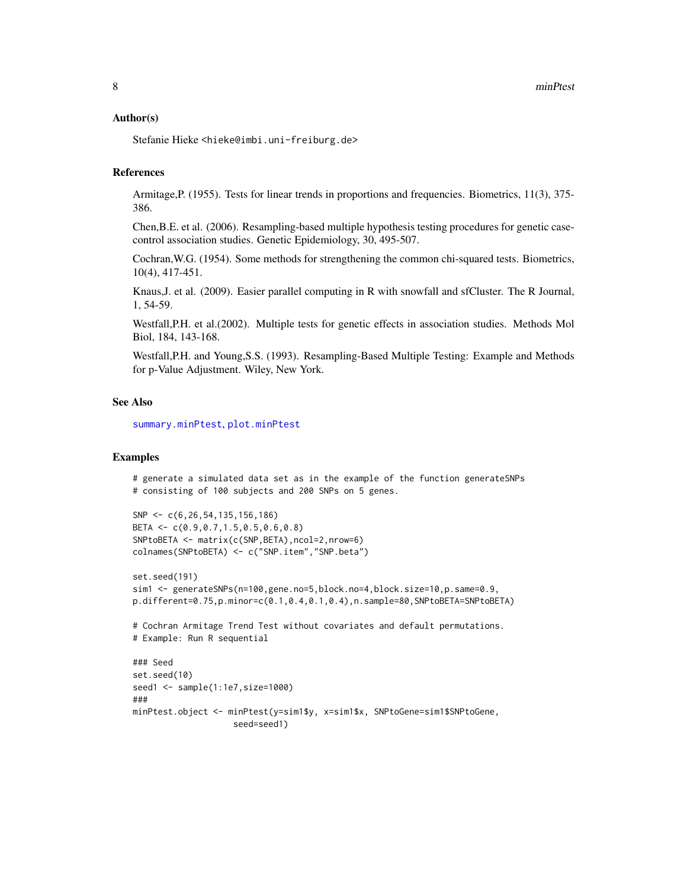## <span id="page-7-0"></span>Author(s)

Stefanie Hieke <hieke@imbi.uni-freiburg.de>

## References

Armitage,P. (1955). Tests for linear trends in proportions and frequencies. Biometrics, 11(3), 375- 386.

Chen,B.E. et al. (2006). Resampling-based multiple hypothesis testing procedures for genetic casecontrol association studies. Genetic Epidemiology, 30, 495-507.

Cochran,W.G. (1954). Some methods for strengthening the common chi-squared tests. Biometrics, 10(4), 417-451.

Knaus,J. et al. (2009). Easier parallel computing in R with snowfall and sfCluster. The R Journal, 1, 54-59.

Westfall,P.H. et al.(2002). Multiple tests for genetic effects in association studies. Methods Mol Biol, 184, 143-168.

Westfall,P.H. and Young,S.S. (1993). Resampling-Based Multiple Testing: Example and Methods for p-Value Adjustment. Wiley, New York.

#### See Also

[summary.minPtest](#page-10-1), [plot.minPtest](#page-8-1)

## Examples

```
# generate a simulated data set as in the example of the function generateSNPs
# consisting of 100 subjects and 200 SNPs on 5 genes.
```

```
SNP <- c(6,26,54,135,156,186)
BETA <- c(0.9,0.7,1.5,0.5,0.6,0.8)
SNPtoBETA <- matrix(c(SNP,BETA),ncol=2,nrow=6)
colnames(SNPtoBETA) <- c("SNP.item","SNP.beta")
```

```
set.seed(191)
sim1 <- generateSNPs(n=100,gene.no=5,block.no=4,block.size=10,p.same=0.9,
p.different=0.75,p.minor=c(0.1,0.4,0.1,0.4),n.sample=80,SNPtoBETA=SNPtoBETA)
```
# Cochran Armitage Trend Test without covariates and default permutations. # Example: Run R sequential

```
### Seed
set.seed(10)
seed1 <- sample(1:1e7,size=1000)
###
minPtest.object <- minPtest(y=sim1$y, x=sim1$x, SNPtoGene=sim1$SNPtoGene,
                    seed=seed1)
```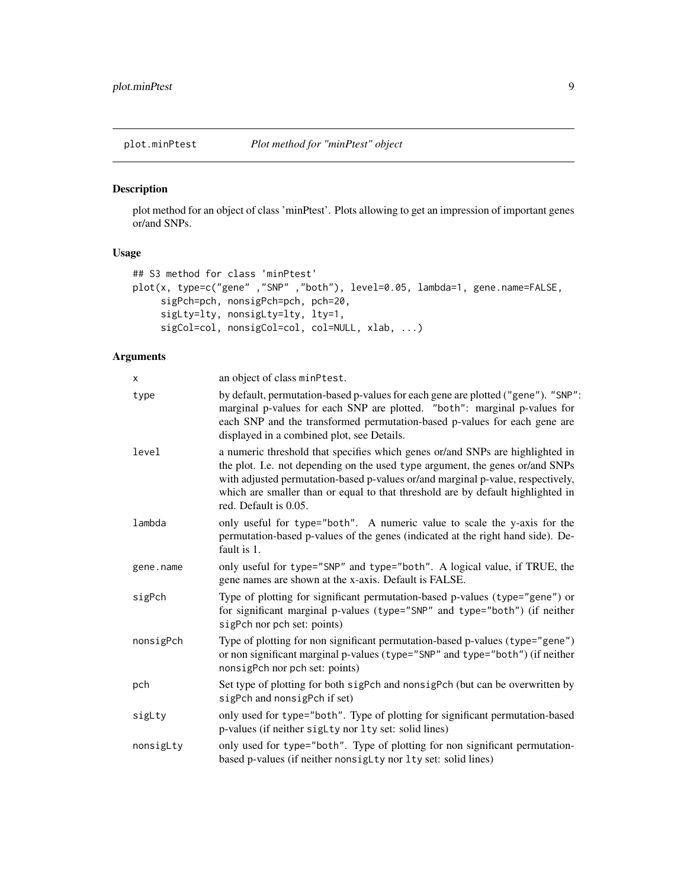<span id="page-8-1"></span><span id="page-8-0"></span>

## Description

plot method for an object of class 'minPtest'. Plots allowing to get an impression of important genes or/and SNPs.

## Usage

```
## S3 method for class 'minPtest'
plot(x, type=c("gene" ,"SNP" ,"both"), level=0.05, lambda=1, gene.name=FALSE,
     sigPch=pch, nonsigPch=pch, pch=20,
     sigLty=lty, nonsigLty=lty, lty=1,
     sigCol=col, nonsigCol=col, col=NULL, xlab, ...)
```
## Arguments

| x         | an object of class minPtest.                                                                                                                                                                                                                                                                                                                                  |
|-----------|---------------------------------------------------------------------------------------------------------------------------------------------------------------------------------------------------------------------------------------------------------------------------------------------------------------------------------------------------------------|
| type      | by default, permutation-based p-values for each gene are plotted ("gene"). "SNP":<br>marginal p-values for each SNP are plotted. "both": marginal p-values for<br>each SNP and the transformed permutation-based p-values for each gene are<br>displayed in a combined plot, see Details.                                                                     |
| level     | a numeric threshold that specifies which genes or/and SNPs are highlighted in<br>the plot. I.e. not depending on the used type argument, the genes or/and SNPs<br>with adjusted permutation-based p-values or/and marginal p-value, respectively,<br>which are smaller than or equal to that threshold are by default highlighted in<br>red. Default is 0.05. |
| lambda    | only useful for type="both". A numeric value to scale the y-axis for the<br>permutation-based p-values of the genes (indicated at the right hand side). De-<br>fault is 1.                                                                                                                                                                                    |
| gene.name | only useful for type="SNP" and type="both". A logical value, if TRUE, the<br>gene names are shown at the x-axis. Default is FALSE.                                                                                                                                                                                                                            |
| sigPch    | Type of plotting for significant permutation-based p-values (type="gene") or<br>for significant marginal p-values (type="SNP" and type="both") (if neither<br>sigPch nor pch set: points)                                                                                                                                                                     |
| nonsigPch | Type of plotting for non significant permutation-based p-values (type="gene")<br>or non significant marginal p-values (type="SNP" and type="both") (if neither<br>nonsigPch nor pch set: points)                                                                                                                                                              |
| pch       | Set type of plotting for both sigPch and nonsigPch (but can be overwritten by<br>sigPch and nonsigPch if set)                                                                                                                                                                                                                                                 |
| sigLty    | only used for type="both". Type of plotting for significant permutation-based<br>p-values (if neither siglty nor lty set: solid lines)                                                                                                                                                                                                                        |
| nonsigLty | only used for type="both". Type of plotting for non significant permutation-<br>based p-values (if neither nonsigLty nor lty set: solid lines)                                                                                                                                                                                                                |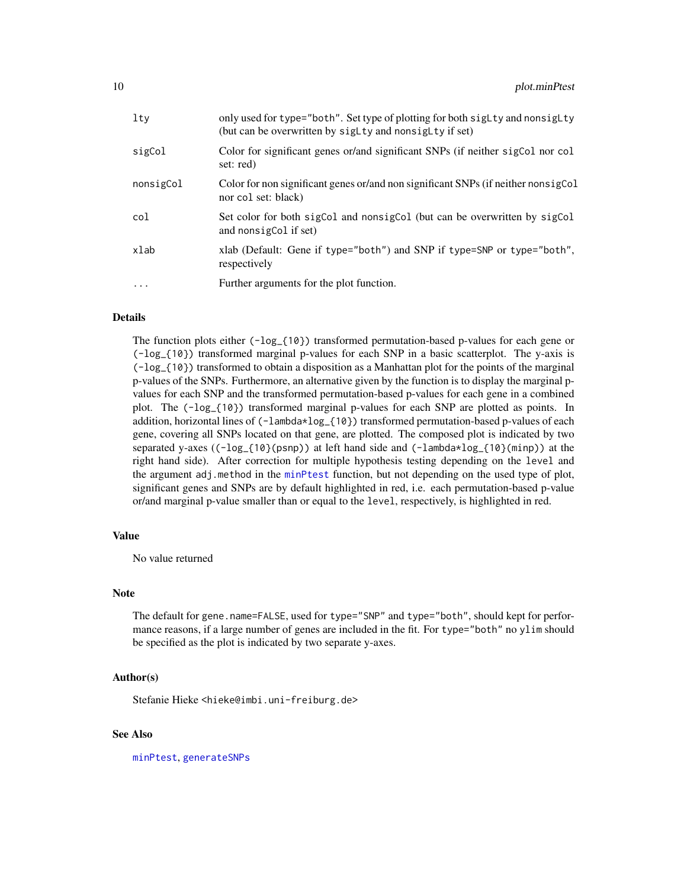<span id="page-9-0"></span>

| $1$ ty    | only used for type="both". Set type of plotting for both sigLty and nonsigLty<br>(but can be overwritten by siglity and nonsiglity if set) |
|-----------|--------------------------------------------------------------------------------------------------------------------------------------------|
| sigCol    | Color for significant genes or/and significant SNPs (if neither sigCol nor col<br>set: red)                                                |
| nonsigCol | Color for non significant genes or/and non significant SNPs (if neither nonsigCol<br>nor col set: black)                                   |
| col       | Set color for both sigCol and nonsigCol (but can be overwritten by sigCol<br>and nonsigCol if set)                                         |
| xlab      | xlab (Default: Gene if type="both") and SNP if type=SNP or type="both",<br>respectively                                                    |
| $\ddots$  | Further arguments for the plot function.                                                                                                   |
|           |                                                                                                                                            |

## **Details**

The function plots either (-log\_{10}) transformed permutation-based p-values for each gene or (-log\_{10}) transformed marginal p-values for each SNP in a basic scatterplot. The y-axis is (-log\_{10}) transformed to obtain a disposition as a Manhattan plot for the points of the marginal p-values of the SNPs. Furthermore, an alternative given by the function is to display the marginal pvalues for each SNP and the transformed permutation-based p-values for each gene in a combined plot. The (-log\_{10}) transformed marginal p-values for each SNP are plotted as points. In addition, horizontal lines of (-lambda\*log\_{10}) transformed permutation-based p-values of each gene, covering all SNPs located on that gene, are plotted. The composed plot is indicated by two separated y-axes ((-log\_{10}(psnp)) at left hand side and (-lambda\*log\_{10}(minp)) at the right hand side). After correction for multiple hypothesis testing depending on the level and the argument adj.method in the [minPtest](#page-3-1) function, but not depending on the used type of plot, significant genes and SNPs are by default highlighted in red, i.e. each permutation-based p-value or/and marginal p-value smaller than or equal to the level, respectively, is highlighted in red.

## Value

No value returned

## Note

The default for gene.name=FALSE, used for type="SNP" and type="both", should kept for performance reasons, if a large number of genes are included in the fit. For type="both" no ylim should be specified as the plot is indicated by two separate y-axes.

## Author(s)

Stefanie Hieke <hieke@imbi.uni-freiburg.de>

## See Also

[minPtest](#page-3-1), [generateSNPs](#page-1-1)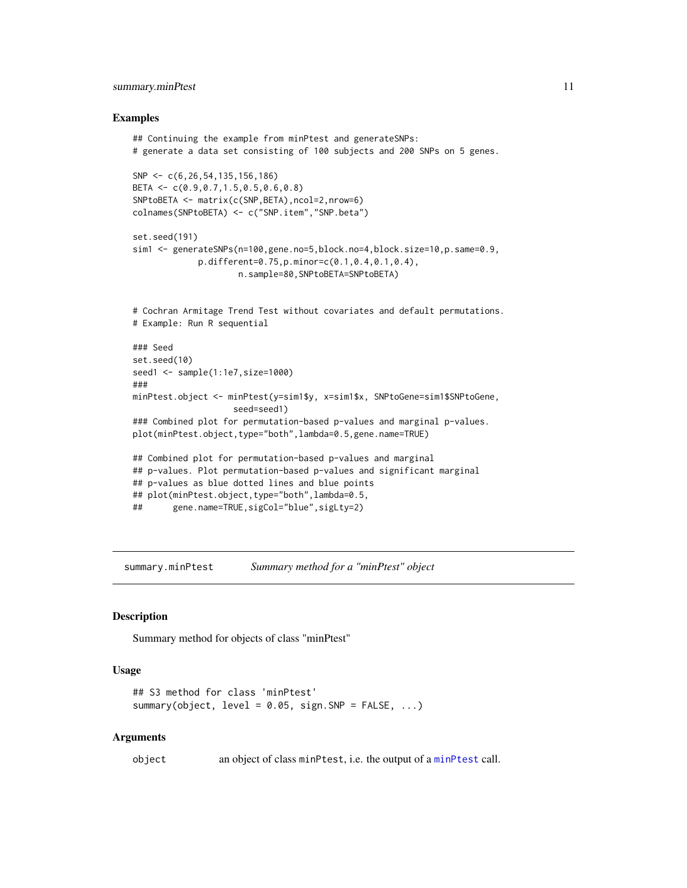## <span id="page-10-0"></span>summary.minPtest 11

## Examples

```
## Continuing the example from minPtest and generateSNPs:
# generate a data set consisting of 100 subjects and 200 SNPs on 5 genes.
SNP <- c(6,26,54,135,156,186)
BETA <- c(0.9,0.7,1.5,0.5,0.6,0.8)
SNPtoBETA <- matrix(c(SNP,BETA),ncol=2,nrow=6)
colnames(SNPtoBETA) <- c("SNP.item","SNP.beta")
set.seed(191)
sim1 <- generateSNPs(n=100,gene.no=5,block.no=4,block.size=10,p.same=0.9,
             p.different=0.75,p.minor=c(0.1,0.4,0.1,0.4),
                     n.sample=80,SNPtoBETA=SNPtoBETA)
# Cochran Armitage Trend Test without covariates and default permutations.
# Example: Run R sequential
### Seed
set.seed(10)
seed1 <- sample(1:1e7,size=1000)
###
minPtest.object <- minPtest(y=sim1$y, x=sim1$x, SNPtoGene=sim1$SNPtoGene,
                    seed=seed1)
### Combined plot for permutation-based p-values and marginal p-values.
plot(minPtest.object,type="both",lambda=0.5,gene.name=TRUE)
## Combined plot for permutation-based p-values and marginal
## p-values. Plot permutation-based p-values and significant marginal
## p-values as blue dotted lines and blue points
## plot(minPtest.object,type="both",lambda=0.5,
## gene.name=TRUE,sigCol="blue",sigLty=2)
```
<span id="page-10-1"></span>summary.minPtest *Summary method for a "minPtest" object*

## **Description**

Summary method for objects of class "minPtest"

#### Usage

```
## S3 method for class 'minPtest'
summary(object, level = 0.05, sign. SNP = FALSE, ...)
```
#### Arguments

object an object of class minPtest, i.e. the output of a [minPtest](#page-3-1) call.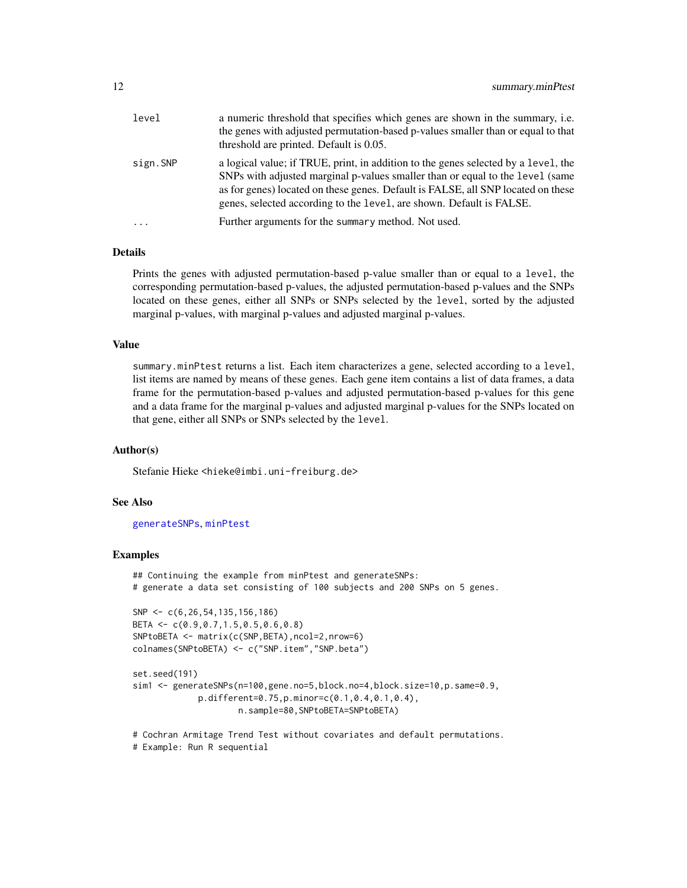<span id="page-11-0"></span>

| level    | a numeric threshold that specifies which genes are shown in the summary, i.e.<br>the genes with adjusted permutation-based p-values smaller than or equal to that<br>threshold are printed. Default is 0.05.                                                                                                                    |
|----------|---------------------------------------------------------------------------------------------------------------------------------------------------------------------------------------------------------------------------------------------------------------------------------------------------------------------------------|
| sign.SNP | a logical value; if TRUE, print, in addition to the genes selected by a level, the<br>SNPs with adjusted marginal p-values smaller than or equal to the level (same<br>as for genes) located on these genes. Default is FALSE, all SNP located on these<br>genes, selected according to the level, are shown. Default is FALSE. |
| $\ddots$ | Further arguments for the summary method. Not used.                                                                                                                                                                                                                                                                             |

## Details

Prints the genes with adjusted permutation-based p-value smaller than or equal to a level, the corresponding permutation-based p-values, the adjusted permutation-based p-values and the SNPs located on these genes, either all SNPs or SNPs selected by the level, sorted by the adjusted marginal p-values, with marginal p-values and adjusted marginal p-values.

## Value

summary.minPtest returns a list. Each item characterizes a gene, selected according to a level, list items are named by means of these genes. Each gene item contains a list of data frames, a data frame for the permutation-based p-values and adjusted permutation-based p-values for this gene and a data frame for the marginal p-values and adjusted marginal p-values for the SNPs located on that gene, either all SNPs or SNPs selected by the level.

## Author(s)

Stefanie Hieke <hieke@imbi.uni-freiburg.de>

## See Also

#### [generateSNPs](#page-1-1), [minPtest](#page-3-1)

## Examples

## Continuing the example from minPtest and generateSNPs: # generate a data set consisting of 100 subjects and 200 SNPs on 5 genes.

```
SNP <- c(6,26,54,135,156,186)
BETA <- c(0.9,0.7,1.5,0.5,0.6,0.8)
SNPtoBETA <- matrix(c(SNP,BETA),ncol=2,nrow=6)
colnames(SNPtoBETA) <- c("SNP.item","SNP.beta")
```

```
set.seed(191)
sim1 <- generateSNPs(n=100,gene.no=5,block.no=4,block.size=10,p.same=0.9,
            p.different=0.75,p.minor=c(0.1,0.4,0.1,0.4),
                    n.sample=80,SNPtoBETA=SNPtoBETA)
```

```
# Cochran Armitage Trend Test without covariates and default permutations.
# Example: Run R sequential
```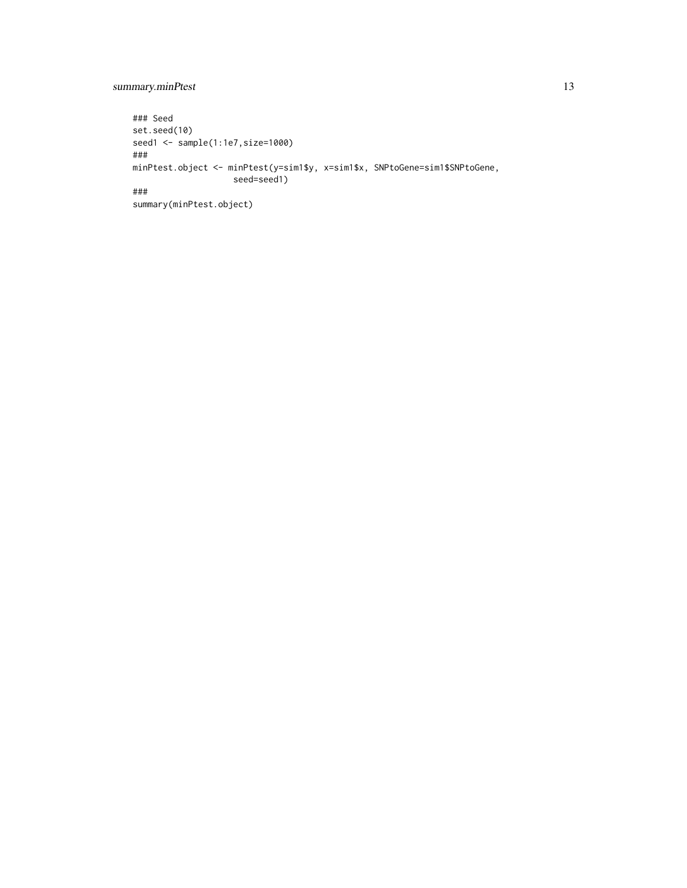## summary.minPtest 13

```
### Seed
set.seed(10)
seed1 <- sample(1:1e7,size=1000)
###
minPtest.object <- minPtest(y=sim1$y, x=sim1$x, SNPtoGene=sim1$SNPtoGene,
                   seed=seed1)
###
summary(minPtest.object)
```